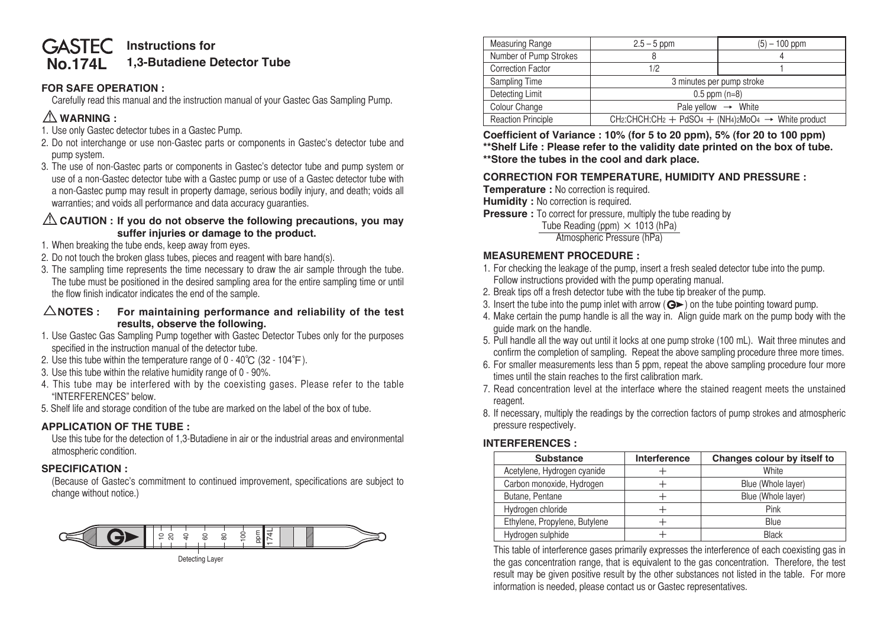#### **No.174L GASTEC** Instructions for **1,3-Butadiene Detector Tube**

# **FOR SAFE OPERATION :**

 Carefully read this manual and the instruction manual of your Gastec Gas Sampling Pump.

# ⚠**WARNING :**

- 1. Use only Gastec detector tubes in a Gastec Pump.
- 2. Do not interchange or use non-Gastec parts or components in Gastec's detector tube and pump system.
- 3. The use of non-Gastec parts or components in Gastec's detector tube and pump system or use of a non-Gastec detector tube with a Gastec pump or use of a Gastec detector tube with a non-Gastec pump may result in property damage, serious bodily injury, and death; voids all warranties; and voids all performance and data accuracy guaranties.

## ⚠**CAUTION : If you do not observe the following precautions, you may suffer injuries or damage to the product.**

- 1. When breaking the tube ends, keep away from eyes.
- 2. Do not touch the broken glass tubes, pieces and reagent with bare hand(s).
- 3. The sampling time represents the time necessary to draw the air sample through the tube. The tube must be positioned in the desired sampling area for the entire sampling time or until the flow finish indicator indicates the end of the sample.

#### △**NOTES : For maintaining performance and reliability of the test results, observe the following.**

- 1. Use Gastec Gas Sampling Pump together with Gastec Detector Tubes only for the purposes specified in the instruction manual of the detector tube.
- 2. Use this tube within the temperature range of  $0 40^{\circ}C$  (32 104 $^{\circ}F$ ).
- 3. Use this tube within the relative humidity range of 0 90%.
- 4. This tube may be interfered with by the coexisting gases. Please refer to the table "INTERFERENCES" below.
- 5. Shelf life and storage condition of the tube are marked on the label of the box of tube.

## **APPLICATION OF THE TUBE :**

 Use this tube for the detection of 1,3-Butadiene in air or the industrial areas and environmental atmospheric condition.

## **SPECIFICATION :**

 (Because of Gastec's commitment to continued improvement, specifications are subject to change without notice.)



| <b>Measuring Range</b>    | $2.5 - 5$ ppm                                                                                                                                         | $(5) - 100$ ppm |  |  |
|---------------------------|-------------------------------------------------------------------------------------------------------------------------------------------------------|-----------------|--|--|
| Number of Pump Strokes    |                                                                                                                                                       |                 |  |  |
| <b>Correction Factor</b>  | 1/2                                                                                                                                                   |                 |  |  |
| Sampling Time             | 3 minutes per pump stroke                                                                                                                             |                 |  |  |
| <b>Detecting Limit</b>    | $0.5$ ppm $(n=8)$                                                                                                                                     |                 |  |  |
| Colour Change             | Pale yellow $\rightarrow$ White                                                                                                                       |                 |  |  |
| <b>Reaction Principle</b> | CH <sub>2</sub> :CHCH:CH <sub>2</sub> + PdSO <sub>4</sub> + (NH <sub>4</sub> ) <sub>2</sub> M <sub>o</sub> O <sub>4</sub> $\rightarrow$ White product |                 |  |  |

**Coefficient of Variance : 10% (for 5 to 20 ppm), 5% (for 20 to 100 ppm) \*\*Shelf Life : Please refer to the validity date printed on the box of tube. \*\*Store the tubes in the cool and dark place.**

## **CORRECTION FOR TEMPERATURE, HUMIDITY AND PRESSURE :**

**Temperature :** No correction is required.

**Humidity :** No correction is required.

**Pressure** : To correct for pressure, multiply the tube reading by

Tube Reading (ppm)  $\times$  1013 (hPa)

 Atmospheric Pressure (hPa)

### **MEASUREMENT PROCEDURE :**

- 1. For checking the leakage of the pump, insert a fresh sealed detector tube into the pump. Follow instructions provided with the pump operating manual.
- 2. Break tips off a fresh detector tube with the tube tip breaker of the pump.
- 3. Insert the tube into the pump inlet with arrow  $(Q \triangleright)$  on the tube pointing toward pump.
- 4. Make certain the pump handle is all the way in. Align guide mark on the pump body with the guide mark on the handle.
- 5. Pull handle all the way out until it locks at one pump stroke (100 mL). Wait three minutes and confirm the completion of sampling. Repeat the above sampling procedure three more times.
- 6. For smaller measurements less than 5 ppm, repeat the above sampling procedure four more times until the stain reaches to the first calibration mark.
- 7. Read concentration level at the interface where the stained reagent meets the unstained reagent.
- 8. If necessary, multiply the readings by the correction factors of pump strokes and atmospheric pressure respectively.

## **INTERFERENCES :**

| <b>Substance</b>              | Interference | Changes colour by itself to |  |
|-------------------------------|--------------|-----------------------------|--|
| Acetylene, Hydrogen cyanide   |              | White                       |  |
| Carbon monoxide, Hydrogen     |              | Blue (Whole layer)          |  |
| Butane, Pentane               |              | Blue (Whole layer)          |  |
| Hydrogen chloride             |              | Pink                        |  |
| Ethylene, Propylene, Butylene |              | <b>Blue</b>                 |  |
| Hydrogen sulphide             |              | <b>Black</b>                |  |

 This table of interference gases primarily expresses the interference of each coexisting gas in the gas concentration range, that is equivalent to the gas concentration. Therefore, the test result may be given positive result by the other substances not listed in the table. For more information is needed, please contact us or Gastec representatives.